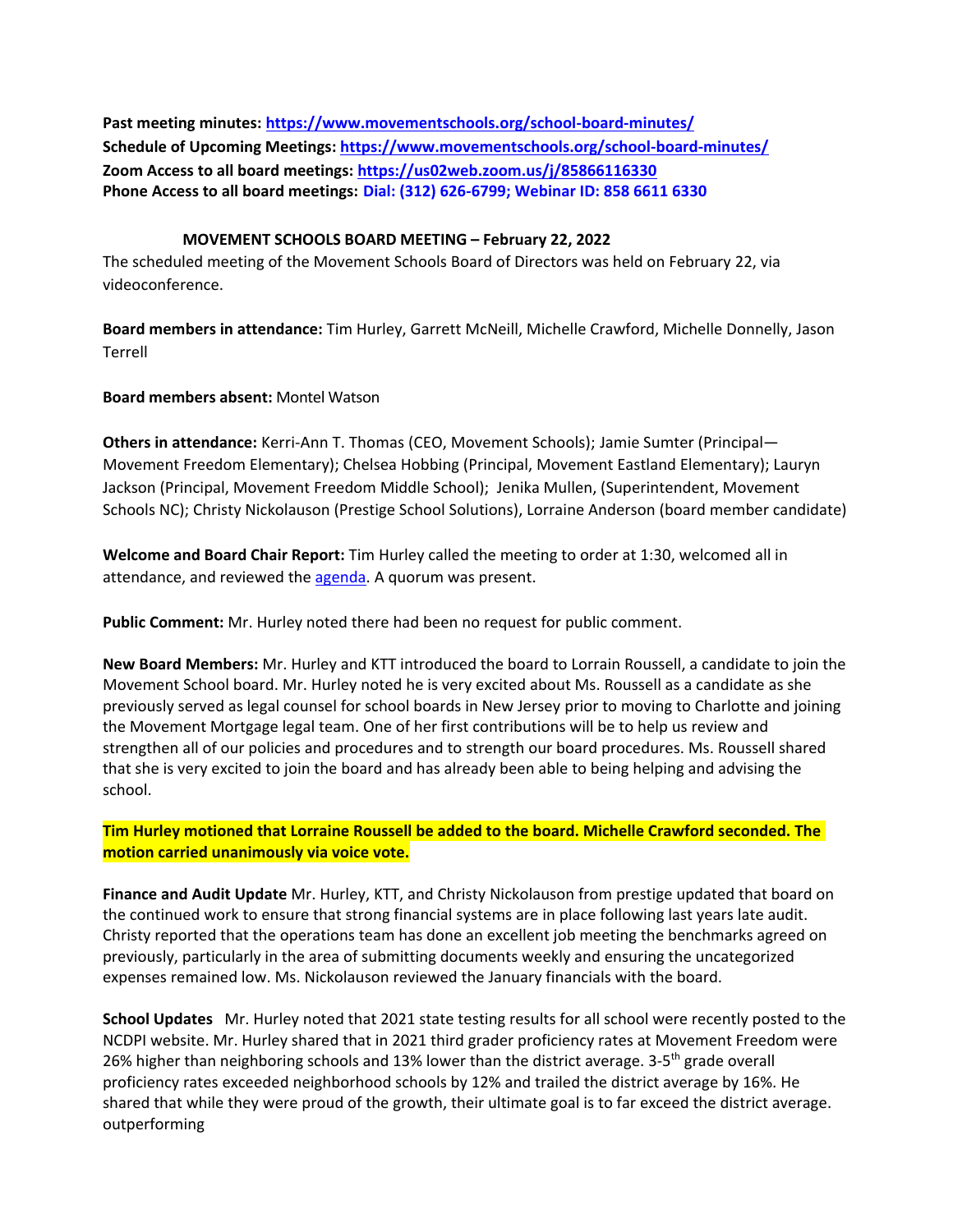**Past meeting minutes:<https://www.movementschools.org/school-board-minutes/> Schedule of Upcoming Meetings[: https://www.movementschools.org/school-board-minutes/](https://www.movementschools.org/school-board-minutes/) Zoom Access to all board meetings:<https://us02web.zoom.us/j/85866116330> Phone Access to all board meetings: Dial: (312) 626-6799; Webinar ID: 858 6611 6330**

## **MOVEMENT SCHOOLS BOARD MEETING – February 22, 2022**

The scheduled meeting of the Movement Schools Board of Directors was held on February 22, via videoconference.

**Board members in attendance:** Tim Hurley, Garrett McNeill, Michelle Crawford, Michelle Donnelly, Jason Terrell

## **Board members absent:** Montel Watson

**Others in attendance:** Kerri-Ann T. Thomas (CEO, Movement Schools); Jamie Sumter (Principal— Movement Freedom Elementary); Chelsea Hobbing (Principal, Movement Eastland Elementary); Lauryn Jackson (Principal, Movement Freedom Middle School); Jenika Mullen, (Superintendent, Movement Schools NC); Christy Nickolauson (Prestige School Solutions), Lorraine Anderson (board member candidate)

**Welcome and Board Chair Report:** Tim Hurley called the meeting to order at 1:30, welcomed all in attendance, and reviewed th[e agenda.](https://docs.google.com/document/d/1Sx0t5QamD-SwOreiew0o8o_NSAyyIa5-YQlGmG1P_eQ/edit) A quorum was present.

**Public Comment:** Mr. Hurley noted there had been no request for public comment.

**New Board Members:** Mr. Hurley and KTT introduced the board to Lorrain Roussell, a candidate to join the Movement School board. Mr. Hurley noted he is very excited about Ms. Roussell as a candidate as she previously served as legal counsel for school boards in New Jersey prior to moving to Charlotte and joining the Movement Mortgage legal team. One of her first contributions will be to help us review and strengthen all of our policies and procedures and to strength our board procedures. Ms. Roussell shared that she is very excited to join the board and has already been able to being helping and advising the school.

**Tim Hurley motioned that Lorraine Roussell be added to the board. Michelle Crawford seconded. The motion carried unanimously via voice vote.**

**Finance and Audit Update** Mr. Hurley, KTT, and Christy Nickolauson from prestige updated that board on the continued work to ensure that strong financial systems are in place following last years late audit. Christy reported that the operations team has done an excellent job meeting the benchmarks agreed on previously, particularly in the area of submitting documents weekly and ensuring the uncategorized expenses remained low. Ms. Nickolauson reviewed the January financials with the board.

**School Updates** Mr. Hurley noted that 2021 state testing results for all school were recently posted to the NCDPI website. Mr. Hurley shared that in 2021 third grader proficiency rates at Movement Freedom were 26% higher than neighboring schools and 13% lower than the district average. 3-5<sup>th</sup> grade overall proficiency rates exceeded neighborhood schools by 12% and trailed the district average by 16%. He shared that while they were proud of the growth, their ultimate goal is to far exceed the district average. outperforming